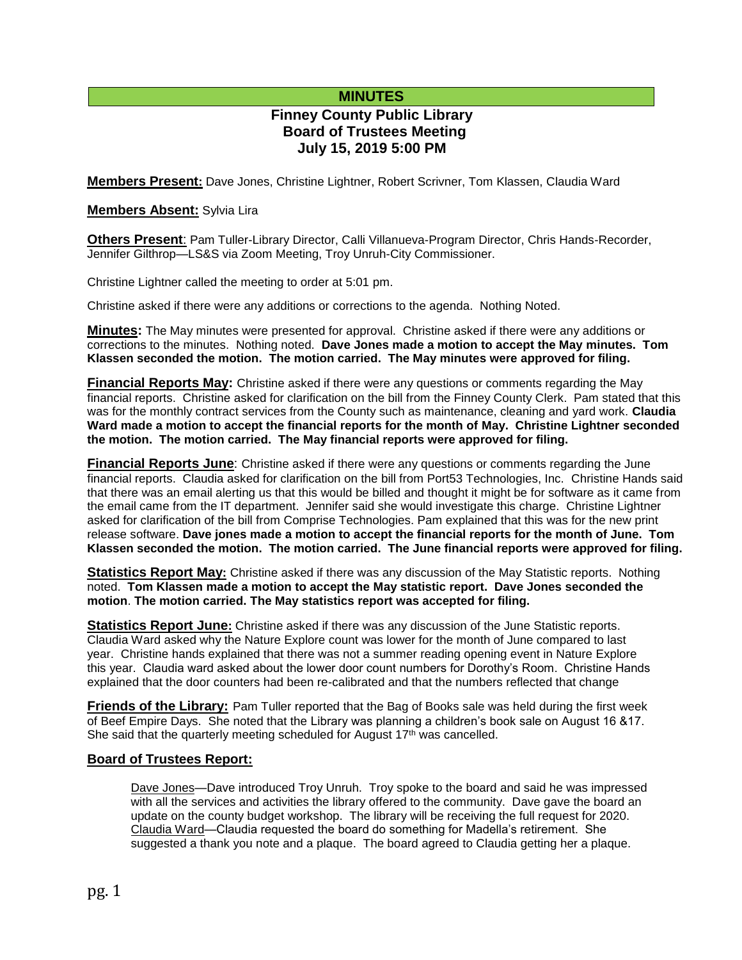## **MINUTES**

# **Finney County Public Library Board of Trustees Meeting July 15, 2019 5:00 PM**

**Members Present:** Dave Jones, Christine Lightner, Robert Scrivner, Tom Klassen, Claudia Ward

### **Members Absent:** Sylvia Lira

**Others Present**: Pam Tuller-Library Director, Calli Villanueva-Program Director, Chris Hands-Recorder, Jennifer Gilthrop—LS&S via Zoom Meeting, Troy Unruh-City Commissioner.

Christine Lightner called the meeting to order at 5:01 pm.

Christine asked if there were any additions or corrections to the agenda. Nothing Noted.

**Minutes:** The May minutes were presented for approval. Christine asked if there were any additions or corrections to the minutes. Nothing noted. **Dave Jones made a motion to accept the May minutes. Tom Klassen seconded the motion. The motion carried. The May minutes were approved for filing.** 

**Financial Reports May:** Christine asked if there were any questions or comments regarding the May financial reports. Christine asked for clarification on the bill from the Finney County Clerk. Pam stated that this was for the monthly contract services from the County such as maintenance, cleaning and yard work. **Claudia Ward made a motion to accept the financial reports for the month of May. Christine Lightner seconded the motion. The motion carried. The May financial reports were approved for filing.**

**Financial Reports June**: Christine asked if there were any questions or comments regarding the June financial reports. Claudia asked for clarification on the bill from Port53 Technologies, Inc. Christine Hands said that there was an email alerting us that this would be billed and thought it might be for software as it came from the email came from the IT department. Jennifer said she would investigate this charge. Christine Lightner asked for clarification of the bill from Comprise Technologies. Pam explained that this was for the new print release software. **Dave jones made a motion to accept the financial reports for the month of June. Tom Klassen seconded the motion. The motion carried. The June financial reports were approved for filing.**

**Statistics Report May:** Christine asked if there was any discussion of the May Statistic reports. Nothing noted. **Tom Klassen made a motion to accept the May statistic report. Dave Jones seconded the motion**. **The motion carried. The May statistics report was accepted for filing.**

**Statistics Report June:** Christine asked if there was any discussion of the June Statistic reports. Claudia Ward asked why the Nature Explore count was lower for the month of June compared to last year. Christine hands explained that there was not a summer reading opening event in Nature Explore this year. Claudia ward asked about the lower door count numbers for Dorothy's Room. Christine Hands explained that the door counters had been re-calibrated and that the numbers reflected that change

**Friends of the Library:** Pam Tuller reported that the Bag of Books sale was held during the first week of Beef Empire Days. She noted that the Library was planning a children's book sale on August 16 &17. She said that the quarterly meeting scheduled for August 17<sup>th</sup> was cancelled.

### **Board of Trustees Report:**

Dave Jones—Dave introduced Troy Unruh. Troy spoke to the board and said he was impressed with all the services and activities the library offered to the community. Dave gave the board an update on the county budget workshop. The library will be receiving the full request for 2020. Claudia Ward—Claudia requested the board do something for Madella's retirement. She suggested a thank you note and a plaque. The board agreed to Claudia getting her a plaque.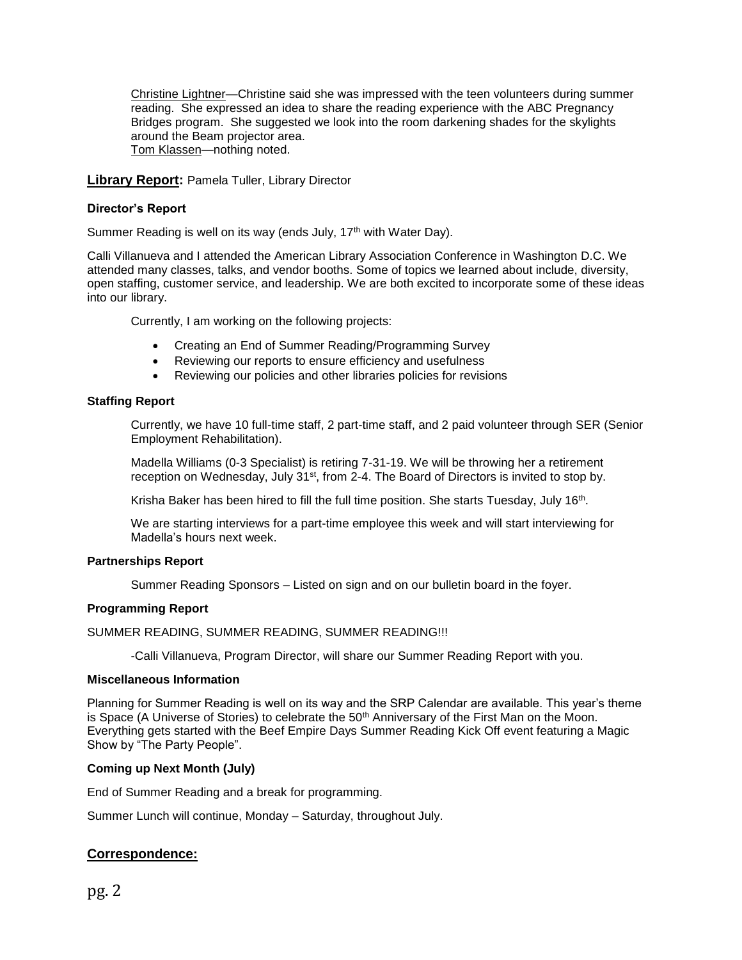Christine Lightner—Christine said she was impressed with the teen volunteers during summer reading. She expressed an idea to share the reading experience with the ABC Pregnancy Bridges program. She suggested we look into the room darkening shades for the skylights around the Beam projector area. Tom Klassen—nothing noted.

### **Library Report:** Pamela Tuller, Library Director

#### **Director's Report**

Summer Reading is well on its way (ends July, 17<sup>th</sup> with Water Day).

Calli Villanueva and I attended the American Library Association Conference in Washington D.C. We attended many classes, talks, and vendor booths. Some of topics we learned about include, diversity, open staffing, customer service, and leadership. We are both excited to incorporate some of these ideas into our library.

Currently, I am working on the following projects:

- Creating an End of Summer Reading/Programming Survey
- Reviewing our reports to ensure efficiency and usefulness
- Reviewing our policies and other libraries policies for revisions

#### **Staffing Report**

Currently, we have 10 full-time staff, 2 part-time staff, and 2 paid volunteer through SER (Senior Employment Rehabilitation).

Madella Williams (0-3 Specialist) is retiring 7-31-19. We will be throwing her a retirement reception on Wednesday, July 31<sup>st</sup>, from 2-4. The Board of Directors is invited to stop by.

Krisha Baker has been hired to fill the full time position. She starts Tuesday, July 16<sup>th</sup>.

We are starting interviews for a part-time employee this week and will start interviewing for Madella's hours next week.

#### **Partnerships Report**

Summer Reading Sponsors – Listed on sign and on our bulletin board in the foyer.

#### **Programming Report**

SUMMER READING, SUMMER READING, SUMMER READING!!!

-Calli Villanueva, Program Director, will share our Summer Reading Report with you.

#### **Miscellaneous Information**

Planning for Summer Reading is well on its way and the SRP Calendar are available. This year's theme is Space (A Universe of Stories) to celebrate the 50<sup>th</sup> Anniversary of the First Man on the Moon. Everything gets started with the Beef Empire Days Summer Reading Kick Off event featuring a Magic Show by "The Party People".

#### **Coming up Next Month (July)**

End of Summer Reading and a break for programming.

Summer Lunch will continue, Monday – Saturday, throughout July.

### **Correspondence:**

pg. 2